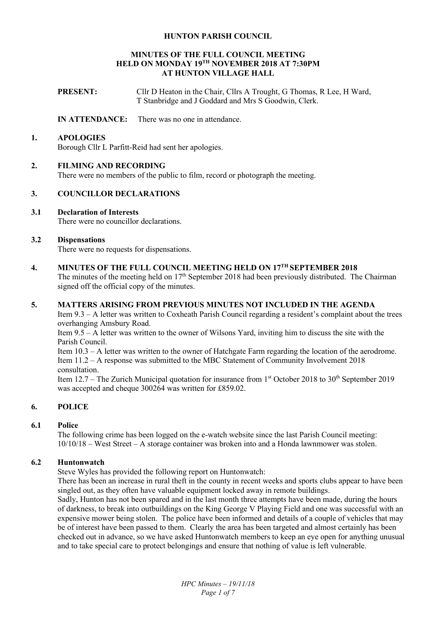#### **HUNTON PARISH COUNCIL**

#### **MINUTES OF THE FULL COUNCIL MEETING HELD ON MONDAY 19TH NOVEMBER 2018 AT 7:30PM AT HUNTON VILLAGE HALL**

**PRESENT:** Cllr D Heaton in the Chair, Cllrs A Trought, G Thomas, R Lee, H Ward, T Stanbridge and J Goddard and Mrs S Goodwin, Clerk.

#### **IN ATTENDANCE:** There was no one in attendance.

#### **1. APOLOGIES**

Borough Cllr L Parfitt-Reid had sent her apologies.

## **2. FILMING AND RECORDING**

There were no members of the public to film, record or photograph the meeting.

## **3. COUNCILLOR DECLARATIONS**

## **3.1 Declaration of Interests**

There were no councillor declarations.

## **3.2 Dispensations**

There were no requests for dispensations.

# **4. MINUTES OF THE FULL COUNCIL MEETING HELD ON 17TH SEPTEMBER 2018**

The minutes of the meeting held on 17<sup>th</sup> September 2018 had been previously distributed. The Chairman signed off the official copy of the minutes.

#### **5. MATTERS ARISING FROM PREVIOUS MINUTES NOT INCLUDED IN THE AGENDA**

Item 9.3 – A letter was written to Coxheath Parish Council regarding a resident's complaint about the trees overhanging Amsbury Road.

Item 9.5 – A letter was written to the owner of Wilsons Yard, inviting him to discuss the site with the Parish Council.

Item 10.3 – A letter was written to the owner of Hatchgate Farm regarding the location of the aerodrome. Item 11.2 – A response was submitted to the MBC Statement of Community Involvement 2018 consultation.

Item 12.7 – The Zurich Municipal quotation for insurance from  $1<sup>st</sup>$  October 2018 to 30<sup>th</sup> September 2019 was accepted and cheque 300264 was written for £859.02.

# **6. POLICE**

# **6.1 Police**

The following crime has been logged on the e-watch website since the last Parish Council meeting: 10/10/18 – West Street – A storage container was broken into and a Honda lawnmower was stolen.

#### **6.2 Huntonwatch**

Steve Wyles has provided the following report on Huntonwatch:

There has been an increase in rural theft in the county in recent weeks and sports clubs appear to have been singled out, as they often have valuable equipment locked away in remote buildings.

Sadly, Hunton has not been spared and in the last month three attempts have been made, during the hours of darkness, to break into outbuildings on the King George V Playing Field and one was successful with an expensive mower being stolen. The police have been informed and details of a couple of vehicles that may be of interest have been passed to them. Clearly the area has been targeted and almost certainly has been checked out in advance, so we have asked Huntonwatch members to keep an eye open for anything unusual and to take special care to protect belongings and ensure that nothing of value is left vulnerable.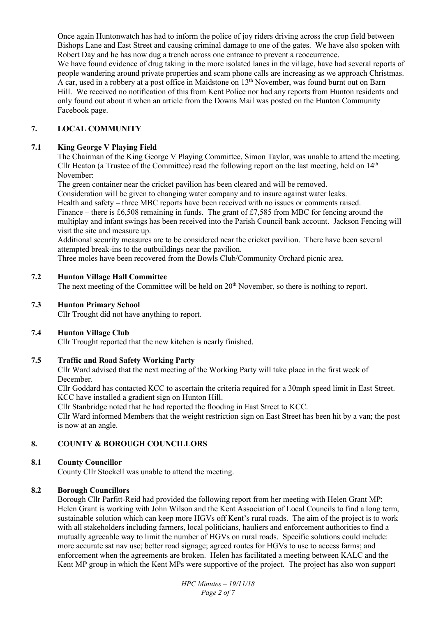Once again Huntonwatch has had to inform the police of joy riders driving across the crop field between Bishops Lane and East Street and causing criminal damage to one of the gates. We have also spoken with Robert Day and he has now dug a trench across one entrance to prevent a reoccurrence.

We have found evidence of drug taking in the more isolated lanes in the village, have had several reports of people wandering around private properties and scam phone calls are increasing as we approach Christmas. A car, used in a robbery at a post office in Maidstone on 13<sup>th</sup> November, was found burnt out on Barn Hill. We received no notification of this from Kent Police nor had any reports from Hunton residents and only found out about it when an article from the Downs Mail was posted on the Hunton Community Facebook page.

# **7. LOCAL COMMUNITY**

# **7.1 King George V Playing Field**

The Chairman of the King George V Playing Committee, Simon Taylor, was unable to attend the meeting. Cllr Heaton (a Trustee of the Committee) read the following report on the last meeting, held on 14<sup>th</sup> November:

The green container near the cricket pavilion has been cleared and will be removed.

Consideration will be given to changing water company and to insure against water leaks.

Health and safety – three MBC reports have been received with no issues or comments raised.

Finance – there is £6,508 remaining in funds. The grant of £7,585 from MBC for fencing around the multiplay and infant swings has been received into the Parish Council bank account. Jackson Fencing will visit the site and measure up.

Additional security measures are to be considered near the cricket pavilion. There have been several attempted break-ins to the outbuildings near the pavilion.

Three moles have been recovered from the Bowls Club/Community Orchard picnic area.

# **7.2 Hunton Village Hall Committee**

The next meeting of the Committee will be held on 20<sup>th</sup> November, so there is nothing to report.

## **7.3 Hunton Primary School**

Cllr Trought did not have anything to report.

# **7.4 Hunton Village Club**

Cllr Trought reported that the new kitchen is nearly finished.

# **7.5 Traffic and Road Safety Working Party**

Cllr Ward advised that the next meeting of the Working Party will take place in the first week of December.

Cllr Goddard has contacted KCC to ascertain the criteria required for a 30mph speed limit in East Street. KCC have installed a gradient sign on Hunton Hill.

Cllr Stanbridge noted that he had reported the flooding in East Street to KCC.

Cllr Ward informed Members that the weight restriction sign on East Street has been hit by a van; the post is now at an angle.

# **8. COUNTY & BOROUGH COUNCILLORS**

# **8.1 County Councillor**

County Cllr Stockell was unable to attend the meeting.

#### **8.2 Borough Councillors**

Borough Cllr Parfitt-Reid had provided the following report from her meeting with Helen Grant MP: Helen Grant is working with John Wilson and the Kent Association of Local Councils to find a long term, sustainable solution which can keep more HGVs off Kent's rural roads. The aim of the project is to work with all stakeholders including farmers, local politicians, hauliers and enforcement authorities to find a mutually agreeable way to limit the number of HGVs on rural roads. Specific solutions could include: more accurate sat nav use; better road signage; agreed routes for HGVs to use to access farms; and enforcement when the agreements are broken. Helen has facilitated a meeting between KALC and the Kent MP group in which the Kent MPs were supportive of the project. The project has also won support

> *HPC Minutes – 19/11/18 Page 2 of 7*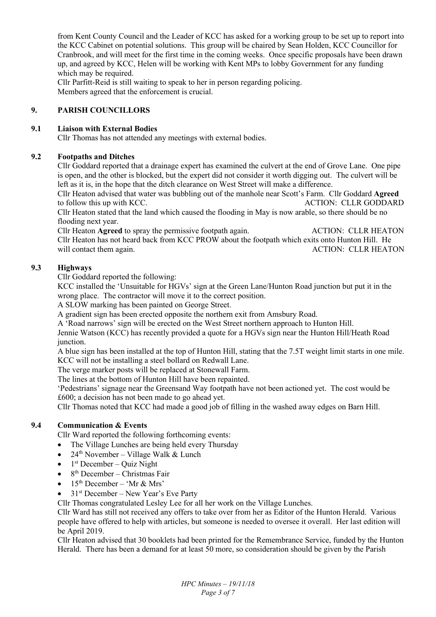from Kent County Council and the Leader of KCC has asked for a working group to be set up to report into the KCC Cabinet on potential solutions. This group will be chaired by Sean Holden, KCC Councillor for Cranbrook, and will meet for the first time in the coming weeks. Once specific proposals have been drawn up, and agreed by KCC, Helen will be working with Kent MPs to lobby Government for any funding which may be required.

Cllr Parfitt-Reid is still waiting to speak to her in person regarding policing. Members agreed that the enforcement is crucial.

# **9. PARISH COUNCILLORS**

# **9.1 Liaison with External Bodies**

Cllr Thomas has not attended any meetings with external bodies.

# **9.2 Footpaths and Ditches**

Cllr Goddard reported that a drainage expert has examined the culvert at the end of Grove Lane. One pipe is open, and the other is blocked, but the expert did not consider it worth digging out. The culvert will be left as it is, in the hope that the ditch clearance on West Street will make a difference.

Cllr Heaton advised that water was bubbling out of the manhole near Scott's Farm. Cllr Goddard **Agreed** to follow this up with KCC. ACTION: CLLR GODDARD

Cllr Heaton stated that the land which caused the flooding in May is now arable, so there should be no flooding next year.

Cllr Heaton **Agreed** to spray the permissive footpath again. ACTION: CLLR HEATON Cllr Heaton has not heard back from KCC PROW about the footpath which exits onto Hunton Hill. He will contact them again. ACTION: CLLR HEATON

# **9.3 Highways**

Cllr Goddard reported the following:

KCC installed the 'Unsuitable for HGVs' sign at the Green Lane/Hunton Road junction but put it in the wrong place. The contractor will move it to the correct position.

A SLOW marking has been painted on George Street.

A gradient sign has been erected opposite the northern exit from Amsbury Road.

A 'Road narrows' sign will be erected on the West Street northern approach to Hunton Hill.

Jennie Watson (KCC) has recently provided a quote for a HGVs sign near the Hunton Hill/Heath Road junction.

A blue sign has been installed at the top of Hunton Hill, stating that the 7.5T weight limit starts in one mile. KCC will not be installing a steel bollard on Redwall Lane.

The verge marker posts will be replaced at Stonewall Farm.

The lines at the bottom of Hunton Hill have been repainted.

'Pedestrians' signage near the Greensand Way footpath have not been actioned yet. The cost would be £600; a decision has not been made to go ahead yet.

Cllr Thomas noted that KCC had made a good job of filling in the washed away edges on Barn Hill.

# **9.4 Communication & Events**

Cllr Ward reported the following forthcoming events:

- The Village Lunches are being held every Thursday
- 24<sup>th</sup> November Village Walk & Lunch
- $\bullet$  1<sup>st</sup> December Quiz Night
- $\bullet$  8<sup>th</sup> December Christmas Fair
- 15th December 'Mr & Mrs'
- $31<sup>st</sup> December New Year's Eve Party$

Cllr Thomas congratulated Lesley Lee for all her work on the Village Lunches.

Cllr Ward has still not received any offers to take over from her as Editor of the Hunton Herald. Various people have offered to help with articles, but someone is needed to oversee it overall. Her last edition will be April 2019.

Cllr Heaton advised that 30 booklets had been printed for the Remembrance Service, funded by the Hunton Herald. There has been a demand for at least 50 more, so consideration should be given by the Parish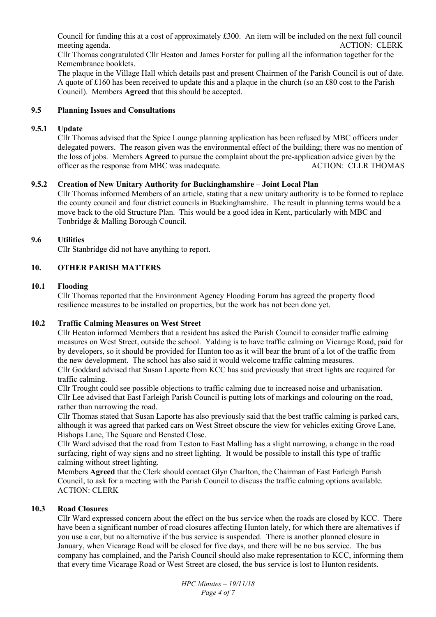Council for funding this at a cost of approximately £300. An item will be included on the next full council meeting agenda. ACTION: CLERK

Cllr Thomas congratulated Cllr Heaton and James Forster for pulling all the information together for the Remembrance booklets.

The plaque in the Village Hall which details past and present Chairmen of the Parish Council is out of date. A quote of £160 has been received to update this and a plaque in the church (so an £80 cost to the Parish Council). Members **Agreed** that this should be accepted.

## **9.5 Planning Issues and Consultations**

#### **9.5.1 Update**

Cllr Thomas advised that the Spice Lounge planning application has been refused by MBC officers under delegated powers. The reason given was the environmental effect of the building; there was no mention of the loss of jobs. Members **Agreed** to pursue the complaint about the pre-application advice given by the officer as the response from MBC was inadequate. ACTION: CLLR THOMAS

## **9.5.2 Creation of New Unitary Authority for Buckinghamshire – Joint Local Plan**

Cllr Thomas informed Members of an article, stating that a new unitary authority is to be formed to replace the county council and four district councils in Buckinghamshire. The result in planning terms would be a move back to the old Structure Plan. This would be a good idea in Kent, particularly with MBC and Tonbridge & Malling Borough Council.

## **9.6 Utilities**

Cllr Stanbridge did not have anything to report.

## **10. OTHER PARISH MATTERS**

## **10.1 Flooding**

Cllr Thomas reported that the Environment Agency Flooding Forum has agreed the property flood resilience measures to be installed on properties, but the work has not been done yet.

#### **10.2 Traffic Calming Measures on West Street**

Cllr Heaton informed Members that a resident has asked the Parish Council to consider traffic calming measures on West Street, outside the school. Yalding is to have traffic calming on Vicarage Road, paid for by developers, so it should be provided for Hunton too as it will bear the brunt of a lot of the traffic from the new development. The school has also said it would welcome traffic calming measures.

Cllr Goddard advised that Susan Laporte from KCC has said previously that street lights are required for traffic calming.

Cllr Trought could see possible objections to traffic calming due to increased noise and urbanisation. Cllr Lee advised that East Farleigh Parish Council is putting lots of markings and colouring on the road, rather than narrowing the road.

Cllr Thomas stated that Susan Laporte has also previously said that the best traffic calming is parked cars, although it was agreed that parked cars on West Street obscure the view for vehicles exiting Grove Lane, Bishops Lane, The Square and Bensted Close.

Cllr Ward advised that the road from Teston to East Malling has a slight narrowing, a change in the road surfacing, right of way signs and no street lighting. It would be possible to install this type of traffic calming without street lighting.

Members **Agreed** that the Clerk should contact Glyn Charlton, the Chairman of East Farleigh Parish Council, to ask for a meeting with the Parish Council to discuss the traffic calming options available. ACTION: CLERK

# **10.3 Road Closures**

Cllr Ward expressed concern about the effect on the bus service when the roads are closed by KCC. There have been a significant number of road closures affecting Hunton lately, for which there are alternatives if you use a car, but no alternative if the bus service is suspended. There is another planned closure in January, when Vicarage Road will be closed for five days, and there will be no bus service. The bus company has complained, and the Parish Council should also make representation to KCC, informing them that every time Vicarage Road or West Street are closed, the bus service is lost to Hunton residents.

> *HPC Minutes – 19/11/18 Page 4 of 7*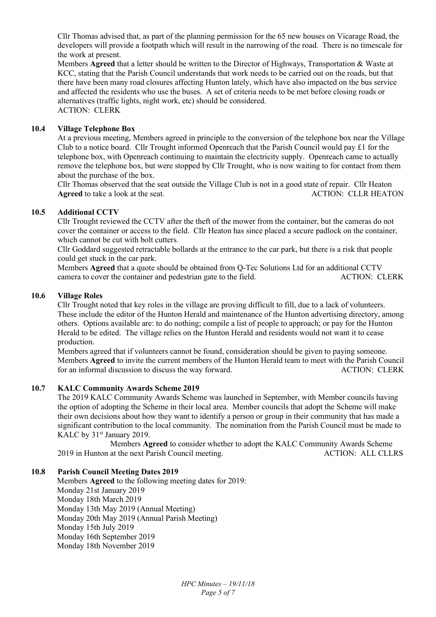Cllr Thomas advised that, as part of the planning permission for the 65 new houses on Vicarage Road, the developers will provide a footpath which will result in the narrowing of the road. There is no timescale for the work at present.

Members **Agreed** that a letter should be written to the Director of Highways, Transportation & Waste at KCC, stating that the Parish Council understands that work needs to be carried out on the roads, but that there have been many road closures affecting Hunton lately, which have also impacted on the bus service and affected the residents who use the buses. A set of criteria needs to be met before closing roads or alternatives (traffic lights, night work, etc) should be considered. ACTION: CLERK

## **10.4 Village Telephone Box**

At a previous meeting, Members agreed in principle to the conversion of the telephone box near the Village Club to a notice board. Cllr Trought informed Openreach that the Parish Council would pay £1 for the telephone box, with Openreach continuing to maintain the electricity supply. Openreach came to actually remove the telephone box, but were stopped by Cllr Trought, who is now waiting to for contact from them about the purchase of the box.

Cllr Thomas observed that the seat outside the Village Club is not in a good state of repair. Cllr Heaton Agreed to take a look at the seat. ACTION: CLLR HEATON

#### **10.5 Additional CCTV**

Cllr Trought reviewed the CCTV after the theft of the mower from the container, but the cameras do not cover the container or access to the field. Cllr Heaton has since placed a secure padlock on the container, which cannot be cut with bolt cutters.

Cllr Goddard suggested retractable bollards at the entrance to the car park, but there is a risk that people could get stuck in the car park.

Members **Agreed** that a quote should be obtained from Q-Tec Solutions Ltd for an additional CCTV camera to cover the container and pedestrian gate to the field. ACTION: CLERK

#### **10.6 Village Roles**

Cllr Trought noted that key roles in the village are proving difficult to fill, due to a lack of volunteers. These include the editor of the Hunton Herald and maintenance of the Hunton advertising directory, among others. Options available are: to do nothing; compile a list of people to approach; or pay for the Hunton Herald to be edited. The village relies on the Hunton Herald and residents would not want it to cease production.

Members agreed that if volunteers cannot be found, consideration should be given to paying someone. Members **Agreed** to invite the current members of the Hunton Herald team to meet with the Parish Council for an informal discussion to discuss the way forward. ACTION: CLERK

#### **10.7 KALC Community Awards Scheme 2019**

The 2019 KALC Community Awards Scheme was launched in September, with Member councils having the option of adopting the Scheme in their local area. Member councils that adopt the Scheme will make their own decisions about how they want to identify a person or group in their community that has made a significant contribution to the local community. The nomination from the Parish Council must be made to KALC by 31<sup>st</sup> January 2019.

 Members **Agreed** to consider whether to adopt the KALC Community Awards Scheme 2019 in Hunton at the next Parish Council meeting. ACTION: ALL CLLRS

#### **10.8 Parish Council Meeting Dates 2019**

 Members **Agreed** to the following meeting dates for 2019: Monday 21st January 2019 Monday 18th March 2019 Monday 13th May 2019 (Annual Meeting) Monday 20th May 2019 (Annual Parish Meeting) Monday 15th July 2019 Monday 16th September 2019 Monday 18th November 2019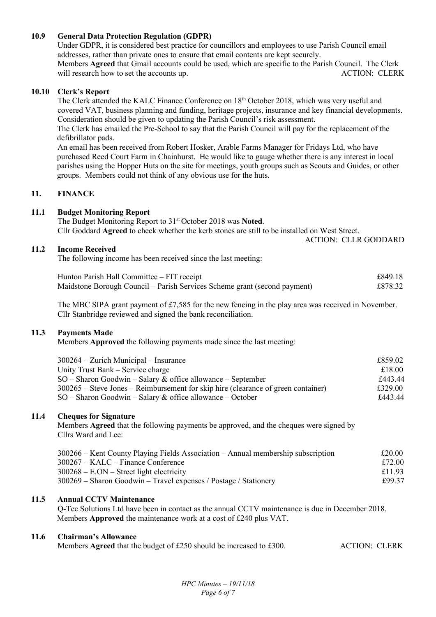# **10.9 General Data Protection Regulation (GDPR)**

Under GDPR, it is considered best practice for councillors and employees to use Parish Council email addresses, rather than private ones to ensure that email contents are kept securely. Members **Agreed** that Gmail accounts could be used, which are specific to the Parish Council. The Clerk will research how to set the accounts up.  $\blacksquare$  ACTION: CLERK

#### **10.10 Clerk's Report**

The Clerk attended the KALC Finance Conference on 18<sup>th</sup> October 2018, which was very useful and covered VAT, business planning and funding, heritage projects, insurance and key financial developments. Consideration should be given to updating the Parish Council's risk assessment.

The Clerk has emailed the Pre-School to say that the Parish Council will pay for the replacement of the defibrillator pads.

 An email has been received from Robert Hosker, Arable Farms Manager for Fridays Ltd, who have purchased Reed Court Farm in Chainhurst. He would like to gauge whether there is any interest in local parishes using the Hopper Huts on the site for meetings, youth groups such as Scouts and Guides, or other groups. Members could not think of any obvious use for the huts.

#### **11. FINANCE**

#### **11.1 Budget Monitoring Report**

The Budget Monitoring Report to 31st October 2018 was **Noted**. Cllr Goddard **Agreed** to check whether the kerb stones are still to be installed on West Street.

ACTION: CLLR GODDARD

#### **11.2 Income Received**

The following income has been received since the last meeting:

| Hunton Parish Hall Committee – FIT receipt                                | £849.18 |
|---------------------------------------------------------------------------|---------|
| Maidstone Borough Council – Parish Services Scheme grant (second payment) | £878.32 |

The MBC SIPA grant payment of £7,585 for the new fencing in the play area was received in November. Cllr Stanbridge reviewed and signed the bank reconciliation.

#### **11.3 Payments Made**

Members **Approved** the following payments made since the last meeting:

| $300264 -$ Zurich Municipal – Insurance                                             | £859.02 |
|-------------------------------------------------------------------------------------|---------|
| Unity Trust Bank – Service charge                                                   | £18.00  |
| $SO -$ Sharon Goodwin – Salary & office allowance – September                       | £443.44 |
| $300265$ – Steve Jones – Reimbursement for skip hire (clearance of green container) | £329.00 |
| $SO -$ Sharon Goodwin – Salary & office allowance – October                         | £443.44 |

#### **11.4 Cheques for Signature**

Members **Agreed** that the following payments be approved, and the cheques were signed by Cllrs Ward and Lee:

| 300266 – Kent County Playing Fields Association – Annual membership subscription | £20.00 |
|----------------------------------------------------------------------------------|--------|
| $300267 - KALC - Finance$ Conference                                             | £72.00 |
| $300268 - E. ON - Street light electricity$                                      | £11.93 |
| $300269$ – Sharon Goodwin – Travel expenses / Postage / Stationery               | £99.37 |

#### **11.5 Annual CCTV Maintenance**

 Q-Tec Solutions Ltd have been in contact as the annual CCTV maintenance is due in December 2018. Members **Approved** the maintenance work at a cost of £240 plus VAT.

#### **11.6 Chairman's Allowance**

Members **Agreed** that the budget of £250 should be increased to £300. ACTION: CLERK